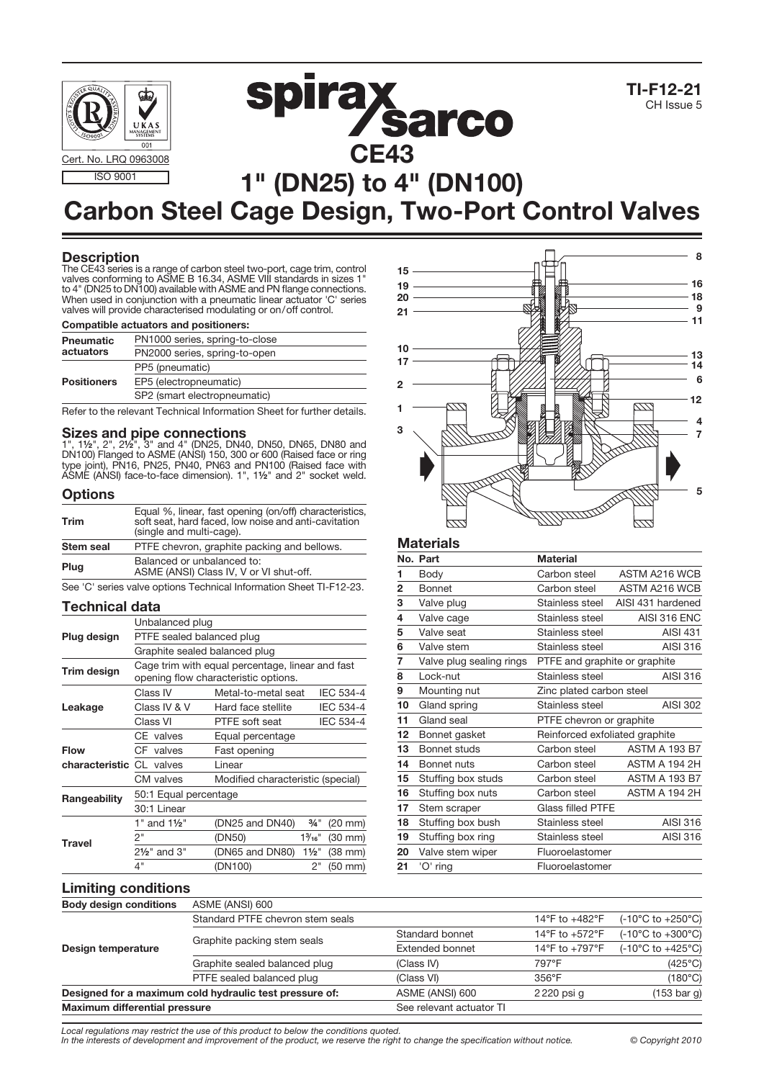



# **spirax<br>CE43** 1" (DN25) to 4" (DN100)

## Carbon Steel Cage Design, Two-Port Control Valves

#### **Description**

The CE43 series is a range of carbon steel two-port, cage trim, control valves conforming to ASME B 16.34, ASME VIII standards in sizes 1" to 4" (DN25 to DN100) available with ASME and PN flange connections. When used in conjunction with a pneumatic linear actuator 'C' series valves will provide characterised modulating or on/off control.

#### Compatible actuators and positioners:

| <b>Pneumatic</b>   | PN1000 series, spring-to-close |
|--------------------|--------------------------------|
| actuators          | PN2000 series, spring-to-open  |
|                    | PP5 (pneumatic)                |
| <b>Positioners</b> | EP5 (electropneumatic)         |
|                    | SP2 (smart electropneumatic)   |

Refer to the relevant Technical Information Sheet for further details.

**Sizes and pipe connections**<br>1", 1½", 2", 2½", 3" and 4" (DN25, DN40, DN50, DN65, DN80 and DN100) Flanged to ASME (ANSI) 150, 300 or 600 (Raised face or ring type joint), PN16, PN25, PN40, PN63 and PN100 (Raised face with ASME (ANSI) face-to-face dimension). 1", 1½" and 2" socket weld.

#### **Options**

| Trim      | Equal %, linear, fast opening (on/off) characteristics,<br>soft seat, hard faced, low noise and anti-cavitation<br>(single and multi-cage). |  |  |  |
|-----------|---------------------------------------------------------------------------------------------------------------------------------------------|--|--|--|
| Stem seal | PTFE chevron, graphite packing and bellows.                                                                                                 |  |  |  |
| Plug      | Balanced or unbalanced to:<br>ASME (ANSI) Class IV, V or VI shut-off.                                                                       |  |  |  |

See 'C' series valve options Technical Information Sheet TI-F12-23.

#### Technical data

|                          | Unbalanced plug                                                                          |                                   |                       |                   |  |  |  |  |
|--------------------------|------------------------------------------------------------------------------------------|-----------------------------------|-----------------------|-------------------|--|--|--|--|
| Plug design              | PTFE sealed balanced plug                                                                |                                   |                       |                   |  |  |  |  |
|                          | Graphite sealed balanced plug                                                            |                                   |                       |                   |  |  |  |  |
| Trim design              | Cage trim with equal percentage, linear and fast<br>opening flow characteristic options. |                                   |                       |                   |  |  |  |  |
|                          | Class IV                                                                                 | Metal-to-metal seat               |                       | IEC 534-4         |  |  |  |  |
| Leakage                  | Class IV & V                                                                             | Hard face stellite                |                       | <b>IEC 534-4</b>  |  |  |  |  |
|                          | Class VI                                                                                 | PTFE soft seat                    |                       | <b>IEC 534-4</b>  |  |  |  |  |
|                          | CE valves                                                                                | Equal percentage                  |                       |                   |  |  |  |  |
| <b>Flow</b>              | CF valves                                                                                | Fast opening                      |                       |                   |  |  |  |  |
| characteristic CL valves |                                                                                          | Linear                            |                       |                   |  |  |  |  |
|                          | CM valves                                                                                | Modified characteristic (special) |                       |                   |  |  |  |  |
| Rangeability             | 50:1 Equal percentage                                                                    |                                   |                       |                   |  |  |  |  |
|                          | 30:1 Linear                                                                              |                                   |                       |                   |  |  |  |  |
|                          | 1" and 1½"                                                                               | (DN25 and DN40)                   | $\frac{3}{4}$ "       | $(20$ mm $)$      |  |  |  |  |
| <b>Travel</b>            | 2"                                                                                       | (DN50)                            | $1\%$ <sub>16</sub> " | $(30 \text{ mm})$ |  |  |  |  |
|                          | 2½" and 3"                                                                               | (DN65 and DN80)                   | $1\frac{1}{2}$        | $(38$ mm $)$      |  |  |  |  |
|                          | 4"                                                                                       | (DN100)                           | 2"                    | (50 mm)           |  |  |  |  |



#### **Materials**

|                | No. Part                 | <b>Material</b>                |                      |
|----------------|--------------------------|--------------------------------|----------------------|
| 1              | Body                     | Carbon steel                   | ASTM A216 WCB        |
| $\overline{2}$ | Bonnet                   | Carbon steel                   | ASTM A216 WCB        |
| 3              | Valve plug               | Stainless steel                | AISI 431 hardened    |
| 4              | Valve cage               | Stainless steel                | AISI 316 ENC         |
| 5              | Valve seat               | Stainless steel                | <b>AISI 431</b>      |
| 6              | Valve stem               | Stainless steel                | AISI 316             |
| 7              | Valve plug sealing rings | PTFE and graphite or graphite  |                      |
| 8              | Lock-nut                 | Stainless steel                | AISI 316             |
| 9              | Mounting nut             | Zinc plated carbon steel       |                      |
| 10             | Gland spring             | Stainless steel                | AISI 302             |
| 11             | Gland seal               | PTFE chevron or graphite       |                      |
| 12             | Bonnet gasket            | Reinforced exfoliated graphite |                      |
| 13             | Bonnet studs             | Carbon steel                   | <b>ASTM A 193 B7</b> |
| 14             | Bonnet nuts              | Carbon steel                   | ASTM A 194 2H        |
| 15             | Stuffing box studs       | Carbon steel                   | <b>ASTM A 193 B7</b> |
| 16             | Stuffing box nuts        | Carbon steel                   | ASTM A 194 2H        |
| 17             | Stem scraper             | <b>Glass filled PTFE</b>       |                      |
| 18             | Stuffing box bush        | Stainless steel                | AISI 316             |
| 19             | Stuffing box ring        | Stainless steel                | AISI 316             |
| 20             | Valve stem wiper         | Fluoroelastomer                |                      |
| 21             | 'O' ring                 | Fluoroelastomer                |                      |
|                |                          |                                |                      |

#### Limiting conditions

| <b>Body design conditions</b>                           | ASME (ANSI) 600                  |                          |                   |                                       |
|---------------------------------------------------------|----------------------------------|--------------------------|-------------------|---------------------------------------|
| Design temperature                                      | Standard PTFE chevron stem seals |                          | 14°F to $+482$ °F | $(-10^{\circ}$ C to $+250^{\circ}$ C) |
|                                                         | Graphite packing stem seals      | Standard bonnet          | 14°F to $+572$ °F | $(-10^{\circ}$ C to $+300^{\circ}$ C) |
|                                                         |                                  | Extended bonnet          | 14°F to +797°F    | $(-10^{\circ}$ C to $+425^{\circ}$ C) |
|                                                         | Graphite sealed balanced plug    | (Class IV)               | 797°F             | $(425^{\circ}C)$                      |
|                                                         | PTFE sealed balanced plug        | (Class VI)               | $356^{\circ}$ F   | $(180^{\circ}C)$                      |
| Designed for a maximum cold hydraulic test pressure of: |                                  | ASME (ANSI) 600          | 2220 psi q        | $(153 \text{ bar } g)$                |
| <b>Maximum differential pressure</b>                    |                                  | See relevant actuator TI |                   |                                       |

Local regulations may restrict the use of this product to below the conditions quoted.

In the interests of development and improvement of the product, we reserve the right to change the specification without notice. © Copyright 2010